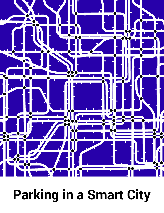

# **Parking in a Smart City**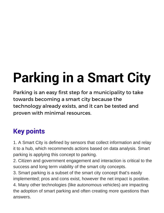# **Parking in a Smart City**

Parking is an easy first step for a municipality to take towards becoming a smart city because the technology already exists, and it can be tested and proven with minimal resources.

### **Key points**

1. A Smart City is defined by sensors that collect information and relay it to a hub, which recommends actions based on data analysis. Smart parking is applying this concept to parking.

2. Citizen and government engagement and interaction is critical to the success and long term viability of the smart city concepts.

3. Smart parking is a subset of the smart city concept that's easily implemented; pros and cons exist, however the net impact is positive.

4. Many other technologies (like autonomous vehicles) are impacting the adoption of smart parking and often creating more questions than answers.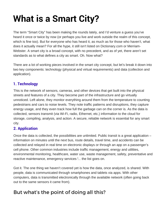# **What is a Smart City?**

The term "Smart City" has been making the rounds lately, and I'd venture a guess you've heard it once or twice by now (or perhaps you live and work outside the realm of this concept, which is fine too). But for everyone who has heard it, as much as for those who haven't, what does it actually mean? For all the hype, it still isn't listed on Dictionary.com or Merriam-Webster. A smart city is a broad concept, with no precedent, and as of yet, there aren't set standards as to what defines a city as smart. Oh. Now what?

There are a lot of working pieces involved in the smart city concept, but let's break it down into two key components: technology (physical and virtual requirements) and data (collection and application).

#### **1. Technology**

This is the network of sensors, cameras, and other devices that get built into the physical streets and features of a city. They become part of the infrastructure and go virtually unnoticed. Left alone, they monitor everything around them from the temperature to counting pedestrians and cars to noise levels. They note traffic patterns and disruptions, they capture energy usage, and they even track how full the garbage can on the corner is. As the data is collected, sensors transmit (via Wi-Fi, radio, Ethernet, etc.) information to the cloud for storage, compiling, analysis, and action. A secure, reliable network is essential for any smart city.

#### **2. Application**

Once the data is collected, the possibilities are unlimited. Public transit is a great application – information on minutes until the next bus, route details, travel time, and accidents can be collected and relayed in real time on electronic displays or through an app on a passenger's cell phone. Other common industries include traffic management, energy and utilities, environmental monitoring, healthcare, water use, waste management, safety, preventative and reactive maintenance, emergency services !.. the list goes on.

Got it. The one thing we haven't covered yet is how the data, once analyzed, is shared. With people, data is communicated through smartphones and tablets via apps. With other computers, data is transmitted electronically through the available network (often going back out to the same sensors it came from).

### But what's the point of doing all this?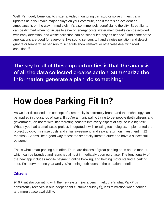Well, it's hugely beneficial to citizens. Video monitoring can stop or solve crimes, traffic updates help you avoid major delays on your commute, and if there's an accident an ambulance is on the way immediately. It's also immensely beneficial to the city. Street lights can be dimmed when not in use to save on energy costs, water main breaks can be avoided with early detection, and waste collection can be scheduled only as needed? And some of the applications are good for everyone, like sound sensors to handle noise pollution and detect gunfire or temperature sensors to schedule snow removal or otherwise deal with road conditions<sup>3</sup>.

The key to all of these opportunities is that the analysis of all the data collected creates action. Summarize the information, generate a plan, do something!

### **How does Parking Fit In?**

As we just discussed, the concept of a smart city is extremely broad, and the technology can be applied in thousands of ways. If you're a municipality, trying to get people (both citizens and government) on board with incorporating sensors into every aspect of city life is a big task. What if you had a small scale project, integrated it with existing technologies, implemented the project quickly, minimize costs and initial investment, and saw a return on investment in 12 months<sup>4</sup>? Seems like a good way to test the smart city infrastructure and have a successful outcome.

That's what smart parking can offer. There are dozens of great parking apps on the market, which can be branded and launched almost immediately upon purchase. The functionality of the new app includes mobile payment, online booking, and helping motorists find a parking spot. Fast forward one year and you're seeing both sides of the equation benefit:

#### **Citizens**

94%+ satisfaction rating with the new system (as a benchmark, that's what ParkPlus consistently receives in our independent customer surveys<sup>5</sup>), less frustration when parking, and more space availability.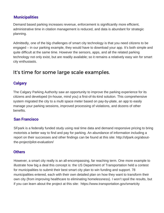#### **Municipalities**

Demand based parking increases revenue, enforcement is significantly more efficient, administrative time in citation management is reduced, and data is abundant for strategic planning.

Admittedly, one of the big challenges of smart city technology is that you need citizens to be engaged – in our parking example, they would have to download your app. It's both simple and quite difficult at the same time. However the sensors, apps, and all the related parking technology not only exist, but are readily available; so it remains a relatively easy win for smart city enthusiasts.

#### It's time for some large scale examples.

#### **Calgary**

The Calgary Parking Authority saw an opportunity to improve the parking experience for its citizens and developed (in-house, mind you) a first-of-its-kind solution. This comprehensive system migrated the city to a multi space meter based on pay-by-plate, an app to easily manage your parking sessions, improved processing of violations, and dozens of other benefits.

#### **San Francisco**

SFpark is a federally funded study using real time data and demand responsive pricing to bring motorists a better way to find and pay for parking. An abundance of information including a report on their successes and other findings can be found at this site: http://sfpark.org/aboutthe-project/pilot-evaluation/

#### **Others**

However, a smart city really is an all-encompassing, far reaching term. One more example to illustrate how big a deal this concept is: the US Department of Transportation held a contest for municipalities to submit their best smart city plan to win funding and support. 78 municipalities entered, each with their own detailed plan on how they want to transform their own city (from improving healthcare to eliminating homelessness). I won't spoil the results, but if you can learn about the project at this site: https://www.transportation.gov/smartcity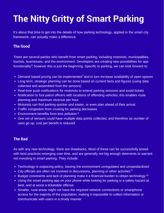## **The Nitty Gritty of Smart Parking**

It's about that time to get into the details of how parking technology, applied in the smart city framework, can actually make a difference.

#### **The Good**

There are several parties who benefit from smart parking, including motorists, municipalities, tourists, businesses, and the environment. Developers are creating new possibilities for app functionality<sup>6</sup>, however this is just the beginning. Specific to parking, we can look forward to:

- Demand based pricing can be implemented<sup>7</sup> and in turn increase availability of open spaces
- Long term, strategic planning can be done based on current facts and figures (using data collected and assembled from the sensors)
- Real-time push notifications for motorists to extend parking sessions and avoid tickets
- Notification to foot patrol officers with locations of offending vehicles; this enables route planning and maximum revenue per hour
- Motorists can find parking quicker and easier, or even plan ahead of their arrival
- Traffic congestion from cruising for parking decreases
- Environment benefits from less pollution 8
- One set of sensors could have multiple data points collected, and therefore as number of uses go up, cost per benefit is reduced

#### **The Bad**

As with any new technology, there are drawbacks. Most of these can be successfully tested with best practices emerging over time, and are generally not big enough deterrents to warrant not investing in smart parking. They include:

- Technology is outpacing policy, leaving the environment unregulated and unstandardized
- City officials are often not involved in discussions, planning or other activities  $9$
- Budget constraints and lack of planning make it a financial burden to obtain technology<sup>10</sup>
- Using the smart parking app on your phone while looking for parking is a safety hazard at best, and at worst a ticketable offense
- Smaller, rural areas might not have the required network connections or smartphone access for the majority of the population, making it impossible to collect information or communicate with users in a timely manner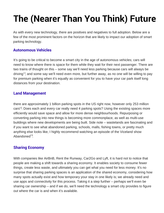# **The (Nearer Than You Think) Future**

As with every new technology, there are positives and negatives to full adoption. Below are a few of the most prominent factors on the horizon that are likely to impact our adoption of smart parking technology.

#### **Autonomous Vehicles**

It's going to be critical to become a smart city in the age of autonomous vehicles; cars will need to know where there is space for them while they wait for their next passenger. There are two trains of thought on this – some say we'll need less parking because cars will always be driving<sup>11</sup>, and some say we'll need even more, but further away, as no one will be willing to pay for premium parking when it's equally as convenient for you to have your car park itself long distances from your destination.

#### **Land Management**

there are approximately 1 billion parking spots in the US right now, however only 253 million cars<sup>12</sup>. Does each and every car really need 4 parking spots? Using the existing spaces more efficiently would save space and allow for more dense neighbourhoods. Repurposing or converting parking into new things is becoming more commonplace, as well as multi-use buildings where new developments are being built. Side note – wastelands are fascinating and if you want to see what abandoned parking, schools, malls, fishing towns, or pretty much anything else looks like, I highly recommend watching an episode of the Viceland show Abandoned<sup>13</sup>.

#### **Sharing Economy**

With companies like AirBnB, Rent the Runway, Car2Go and Lyft, it is hard not to notice that people are making a shift towards a sharing economy. It enables society to consume fewer things, create less waste, and ultimately you can get what you need for less money. It's no surprise that sharing parking spaces is an application of the shared economy, considering how many spots actually exist and how temporary your stay in one likely is; we already need and use apps and connectivity for this process. Taking it a step further – perhaps we'll even be sharing car ownership – and if we do, we'll need the technology a smart city provides to figure out where the car is and when it's available.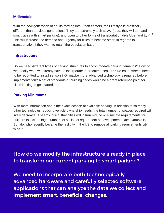#### **Millennials**

With the new generation of adults moving into urban centers, their lifestyle is drastically different than previous generations. They are extremely tech savvy (read: they will demand smart cities with smart parking), and open to other forms of transportation (like Uber and Lyft) $^{14}$ This will increase the demand and urgency for cities to become smart in regards to transportation if they want to retain the population base.

#### **Infrastructure**

Do we need different types of parking structures to accommodate parking demands? How do we modify what we already have to incorporate the required sensors? Do entire streets need to be retrofitted to install sensors? Or maybe more advanced technology is required before implementation? A set of standards or building codes would be a great reference point for cities looking to get started.

#### **Parking Minimums**

With more information about the exact location of available parking, in addition to so many other technologies reducing vehicle ownership needs, the total number of spaces required will likely decrease. It seems logical that cities will in turn reduce or eliminate requirements for builders to include high numbers of stalls per square foot of development. One example is Buffalo, who recently became the first city in the US to remove all parking requirements city wide<sup>15</sup>.

How do we modify the infrastructure already in place to transform our current parking to smart parking?

We need to incorporate both technologically advanced hardware and carefully selected software applications that can analyze the data we collect and implement smart, beneficial changes.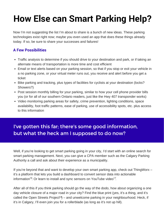## **How Else can Smart Parking Help?**

Now I'm not suggesting the list I'm about to share is a bunch of new ideas. These parking technologies exist right now; maybe you even used an app that does these things already today. If so, be sure to share your successes and failures!

#### **A Few Possibilities**

- Traffic analysis to determine if you should drive to your destination and park, or if taking an alternate means of transportation is more time and cost efficient
- Email or text alerts based on your parking session, so that if you stop or exit your vehicle in a no parking zone, or your virtual meter runs out, you receive and alert before you get a ticket
- Bike parking and tracking, plus types of facilities for cyclists at your destination (locks? Showers?)
- Post session monthly billing for your parking, similar to how your cell phone provider bills you (or for all of our southern Ontario readers, just like the Hwy 407 transponder works)
- Video monitoring parking areas for safety, crime prevention, lighting conditions, space availability, foot traffic patterns, ease of parking, use of accessibility spots, etc. plus access to this information

### I've gotten this far; there's some good information, but what the heck am I supposed to do now?

Well, if you're looking to get smart parking going in your city, I'd start with an online search for smart parking management. Next, you can give a CPA member such as the Calgary Parking Authority a call and ask about their experience as a municipality.

If you're beyond that and want to develop your own smart parking app, check out ThingWorx – it's a platform that lets you build a dashboard to convert sensor data into actionable information<sup>16</sup>. Or learn to install and sync sensors on YouTube video<sup>17</sup>.

After all of this if you think parking should go the way of the dodo, how about organizing a one day vehicle closure of a major road in your city? Find the blue print (yes, it's a thing, and it's called the Open Streets Project<sup>18</sup> $)$  – and unwelcome parking in your neighbourhood. Heck, if it's in Calgary, I'll even join you for a rollerblade (as long as it's not up hill).